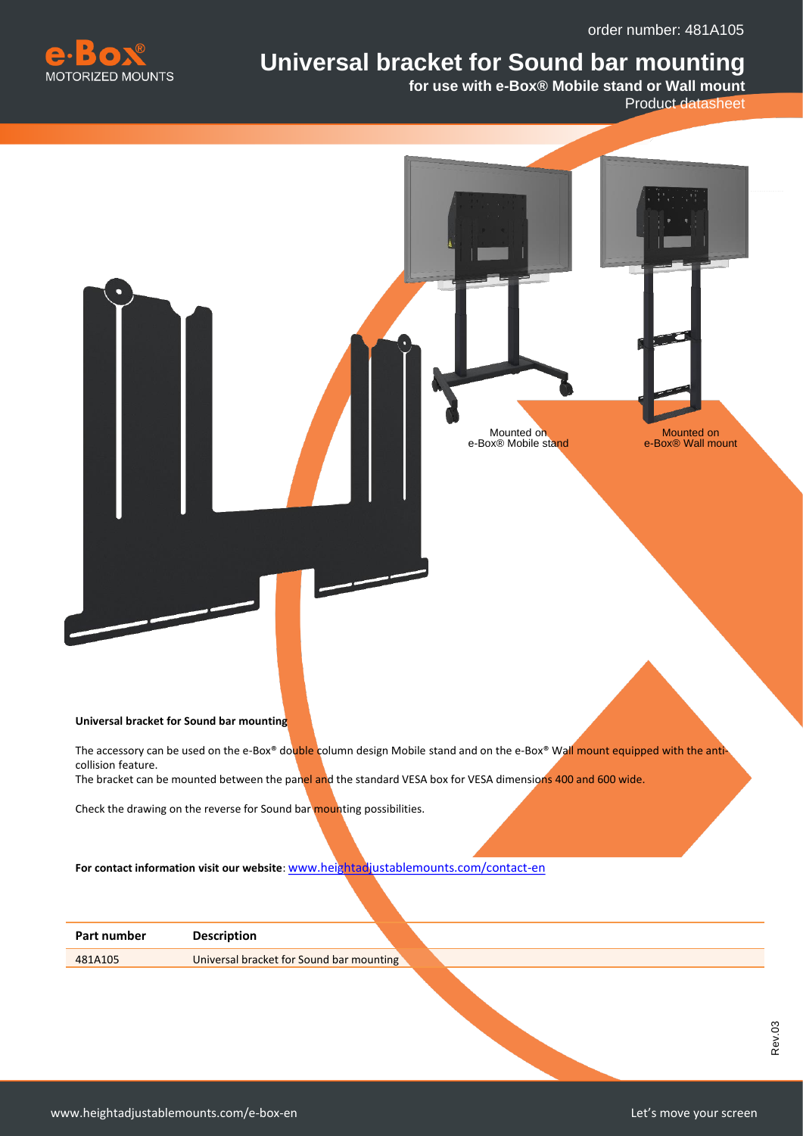order number: 481A105



## **Universal bracket for Sound bar mounting**

**for use with e-Box® Mobile stand or Wall mount** 

Product datasheet



The accessory can be used on the e-Box® double column design Mobile stand and on the e-Box® Wall mount equipped with the anticollision feature.

The bracket can be mounted between the panel and the standard VESA box for VESA dimensions 400 and 600 wide.

Check the drawing on the reverse for Sound bar mounting possibilities.

**For contact information visit our website**: [www.heightadjustablemounts.com/contact-en](http://www.heightadjustablemounts.com/contact-en)

| Universal bracket for Sound bar mounting<br>481A105 | Part number | <b>Description</b> |  |  |  |  |  |  |  |  |  |  |  |  |  |  |  |  |  |  |  |  |  |  |  |  |  |  |  |  |
|-----------------------------------------------------|-------------|--------------------|--|--|--|--|--|--|--|--|--|--|--|--|--|--|--|--|--|--|--|--|--|--|--|--|--|--|--|--|
|                                                     |             |                    |  |  |  |  |  |  |  |  |  |  |  |  |  |  |  |  |  |  |  |  |  |  |  |  |  |  |  |  |